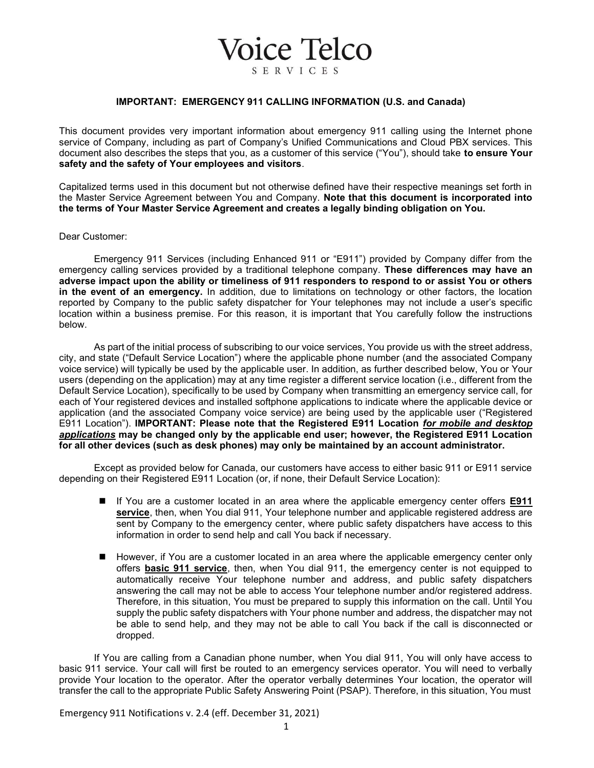## IMPORTANT: EMERGENCY 911 CALLING INFORMATION (U.S. and Canada)

**Voice Telco** 

**SERVICES** 

This document provides very important information about emergency 911 calling using the Internet phone service of Company, including as part of Company's Unified Communications and Cloud PBX services. This document also describes the steps that you, as a customer of this service ("You"), should take to ensure Your safety and the safety of Your employees and visitors.

Capitalized terms used in this document but not otherwise defined have their respective meanings set forth in the Master Service Agreement between You and Company. Note that this document is incorporated into the terms of Your Master Service Agreement and creates a legally binding obligation on You.

## Dear Customer:

Emergency 911 Services (including Enhanced 911 or "E911") provided by Company differ from the emergency calling services provided by a traditional telephone company. These differences may have an adverse impact upon the ability or timeliness of 911 responders to respond to or assist You or others in the event of an emergency. In addition, due to limitations on technology or other factors, the location reported by Company to the public safety dispatcher for Your telephones may not include a user's specific location within a business premise. For this reason, it is important that You carefully follow the instructions below.

As part of the initial process of subscribing to our voice services, You provide us with the street address, city, and state ("Default Service Location") where the applicable phone number (and the associated Company voice service) will typically be used by the applicable user. In addition, as further described below, You or Your users (depending on the application) may at any time register a different service location (i.e., different from the Default Service Location), specifically to be used by Company when transmitting an emergency service call, for each of Your registered devices and installed softphone applications to indicate where the applicable device or application (and the associated Company voice service) are being used by the applicable user ("Registered E911 Location"). IMPORTANT: Please note that the Registered E911 Location for mobile and desktop applications may be changed only by the applicable end user; however, the Registered E911 Location for all other devices (such as desk phones) may only be maintained by an account administrator.

Except as provided below for Canada, our customers have access to either basic 911 or E911 service depending on their Registered E911 Location (or, if none, their Default Service Location):

- If You are a customer located in an area where the applicable emergency center offers E911 service, then, when You dial 911, Your telephone number and applicable registered address are sent by Company to the emergency center, where public safety dispatchers have access to this information in order to send help and call You back if necessary.
- However, if You are a customer located in an area where the applicable emergency center only offers **basic 911 service**, then, when You dial 911, the emergency center is not equipped to automatically receive Your telephone number and address, and public safety dispatchers answering the call may not be able to access Your telephone number and/or registered address. Therefore, in this situation, You must be prepared to supply this information on the call. Until You supply the public safety dispatchers with Your phone number and address, the dispatcher may not be able to send help, and they may not be able to call You back if the call is disconnected or dropped.

If You are calling from a Canadian phone number, when You dial 911, You will only have access to basic 911 service. Your call will first be routed to an emergency services operator. You will need to verbally provide Your location to the operator. After the operator verbally determines Your location, the operator will transfer the call to the appropriate Public Safety Answering Point (PSAP). Therefore, in this situation, You must

Emergency 911 Notifications v. 2.4 (eff. December 31, 2021)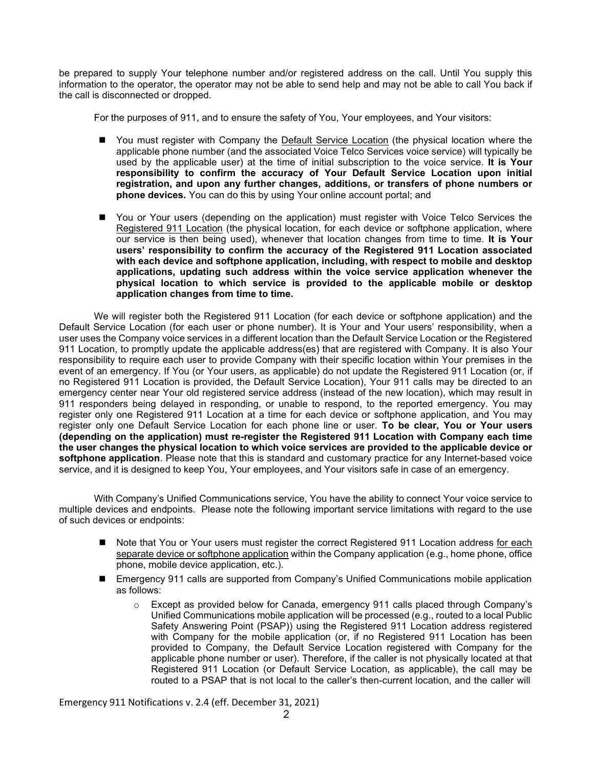be prepared to supply Your telephone number and/or registered address on the call. Until You supply this information to the operator, the operator may not be able to send help and may not be able to call You back if the call is disconnected or dropped.

For the purposes of 911, and to ensure the safety of You, Your employees, and Your visitors:

- You must register with Company the Default Service Location (the physical location where the applicable phone number (and the associated Voice Telco Services voice service) will typically be used by the applicable user) at the time of initial subscription to the voice service. It is Your responsibility to confirm the accuracy of Your Default Service Location upon initial registration, and upon any further changes, additions, or transfers of phone numbers or phone devices. You can do this by using Your online account portal; and
- You or Your users (depending on the application) must register with Voice Telco Services the Registered 911 Location (the physical location, for each device or softphone application, where our service is then being used), whenever that location changes from time to time. It is Your users' responsibility to confirm the accuracy of the Registered 911 Location associated with each device and softphone application, including, with respect to mobile and desktop applications, updating such address within the voice service application whenever the physical location to which service is provided to the applicable mobile or desktop application changes from time to time.

We will register both the Registered 911 Location (for each device or softphone application) and the Default Service Location (for each user or phone number). It is Your and Your users' responsibility, when a user uses the Company voice services in a different location than the Default Service Location or the Registered 911 Location, to promptly update the applicable address(es) that are registered with Company. It is also Your responsibility to require each user to provide Company with their specific location within Your premises in the event of an emergency. If You (or Your users, as applicable) do not update the Registered 911 Location (or, if no Registered 911 Location is provided, the Default Service Location), Your 911 calls may be directed to an emergency center near Your old registered service address (instead of the new location), which may result in 911 responders being delayed in responding, or unable to respond, to the reported emergency. You may register only one Registered 911 Location at a time for each device or softphone application, and You may register only one Default Service Location for each phone line or user. To be clear, You or Your users (depending on the application) must re-register the Registered 911 Location with Company each time the user changes the physical location to which voice services are provided to the applicable device or softphone application. Please note that this is standard and customary practice for any Internet-based voice service, and it is designed to keep You, Your employees, and Your visitors safe in case of an emergency.

With Company's Unified Communications service, You have the ability to connect Your voice service to multiple devices and endpoints. Please note the following important service limitations with regard to the use of such devices or endpoints:

- Note that You or Your users must register the correct Registered 911 Location address for each separate device or softphone application within the Company application (e.g., home phone, office phone, mobile device application, etc.).
- Emergency 911 calls are supported from Company's Unified Communications mobile application as follows:
	- $\circ$  Except as provided below for Canada, emergency 911 calls placed through Company's Unified Communications mobile application will be processed (e.g., routed to a local Public Safety Answering Point (PSAP)) using the Registered 911 Location address registered with Company for the mobile application (or, if no Registered 911 Location has been provided to Company, the Default Service Location registered with Company for the applicable phone number or user). Therefore, if the caller is not physically located at that Registered 911 Location (or Default Service Location, as applicable), the call may be routed to a PSAP that is not local to the caller's then-current location, and the caller will

Emergency 911 Notifications v. 2.4 (eff. December 31, 2021)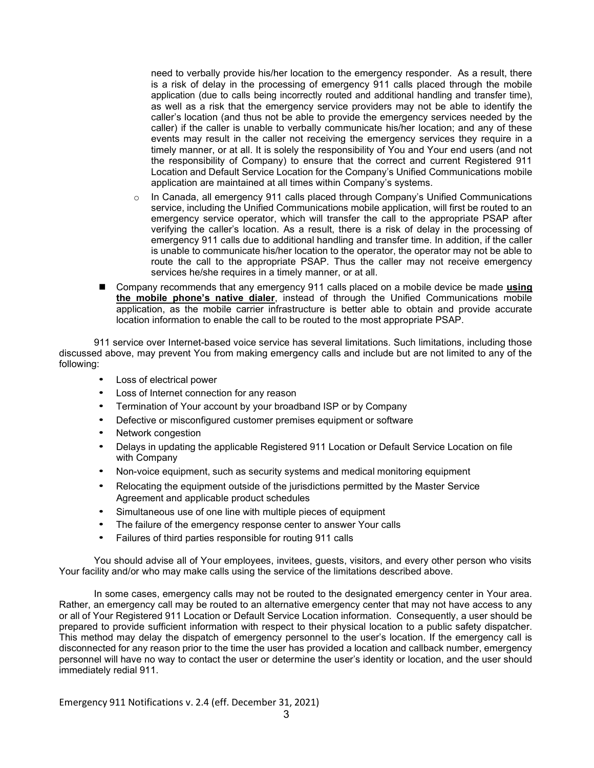need to verbally provide his/her location to the emergency responder. As a result, there is a risk of delay in the processing of emergency 911 calls placed through the mobile application (due to calls being incorrectly routed and additional handling and transfer time), as well as a risk that the emergency service providers may not be able to identify the caller's location (and thus not be able to provide the emergency services needed by the caller) if the caller is unable to verbally communicate his/her location; and any of these events may result in the caller not receiving the emergency services they require in a timely manner, or at all. It is solely the responsibility of You and Your end users (and not the responsibility of Company) to ensure that the correct and current Registered 911 Location and Default Service Location for the Company's Unified Communications mobile application are maintained at all times within Company's systems.

- o In Canada, all emergency 911 calls placed through Company's Unified Communications service, including the Unified Communications mobile application, will first be routed to an emergency service operator, which will transfer the call to the appropriate PSAP after verifying the caller's location. As a result, there is a risk of delay in the processing of emergency 911 calls due to additional handling and transfer time. In addition, if the caller is unable to communicate his/her location to the operator, the operator may not be able to route the call to the appropriate PSAP. Thus the caller may not receive emergency services he/she requires in a timely manner, or at all.
- Company recommends that any emergency 911 calls placed on a mobile device be made using the mobile phone's native dialer, instead of through the Unified Communications mobile application, as the mobile carrier infrastructure is better able to obtain and provide accurate location information to enable the call to be routed to the most appropriate PSAP.

911 service over Internet-based voice service has several limitations. Such limitations, including those discussed above, may prevent You from making emergency calls and include but are not limited to any of the following:

- Loss of electrical power
- Loss of Internet connection for any reason
- Termination of Your account by your broadband ISP or by Company
- Defective or misconfigured customer premises equipment or software
- Network congestion
- Delays in updating the applicable Registered 911 Location or Default Service Location on file with Company
- Non-voice equipment, such as security systems and medical monitoring equipment
- Relocating the equipment outside of the jurisdictions permitted by the Master Service Agreement and applicable product schedules
- Simultaneous use of one line with multiple pieces of equipment
- The failure of the emergency response center to answer Your calls
- Failures of third parties responsible for routing 911 calls

You should advise all of Your employees, invitees, guests, visitors, and every other person who visits Your facility and/or who may make calls using the service of the limitations described above.

In some cases, emergency calls may not be routed to the designated emergency center in Your area. Rather, an emergency call may be routed to an alternative emergency center that may not have access to any or all of Your Registered 911 Location or Default Service Location information. Consequently, a user should be prepared to provide sufficient information with respect to their physical location to a public safety dispatcher. This method may delay the dispatch of emergency personnel to the user's location. If the emergency call is disconnected for any reason prior to the time the user has provided a location and callback number, emergency personnel will have no way to contact the user or determine the user's identity or location, and the user should immediately redial 911.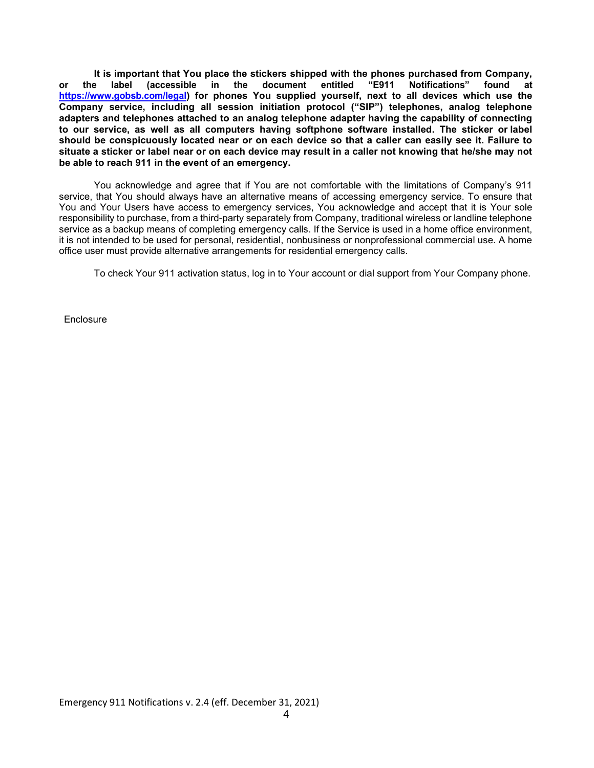It is important that You place the stickers shipped with the phones purchased from Company, or the label (accessible in the document entitled "E911 Notifications" found at https://www.gobsb.com/legal) for phones You supplied yourself, next to all devices which use the Company service, including all session initiation protocol ("SIP") telephones, analog telephone adapters and telephones attached to an analog telephone adapter having the capability of connecting to our service, as well as all computers having softphone software installed. The sticker or label should be conspicuously located near or on each device so that a caller can easily see it. Failure to situate a sticker or label near or on each device may result in a caller not knowing that he/she may not be able to reach 911 in the event of an emergency.

You acknowledge and agree that if You are not comfortable with the limitations of Company's 911 service, that You should always have an alternative means of accessing emergency service. To ensure that You and Your Users have access to emergency services, You acknowledge and accept that it is Your sole responsibility to purchase, from a third-party separately from Company, traditional wireless or landline telephone service as a backup means of completing emergency calls. If the Service is used in a home office environment, it is not intended to be used for personal, residential, nonbusiness or nonprofessional commercial use. A home office user must provide alternative arrangements for residential emergency calls.

To check Your 911 activation status, log in to Your account or dial support from Your Company phone.

**Enclosure**